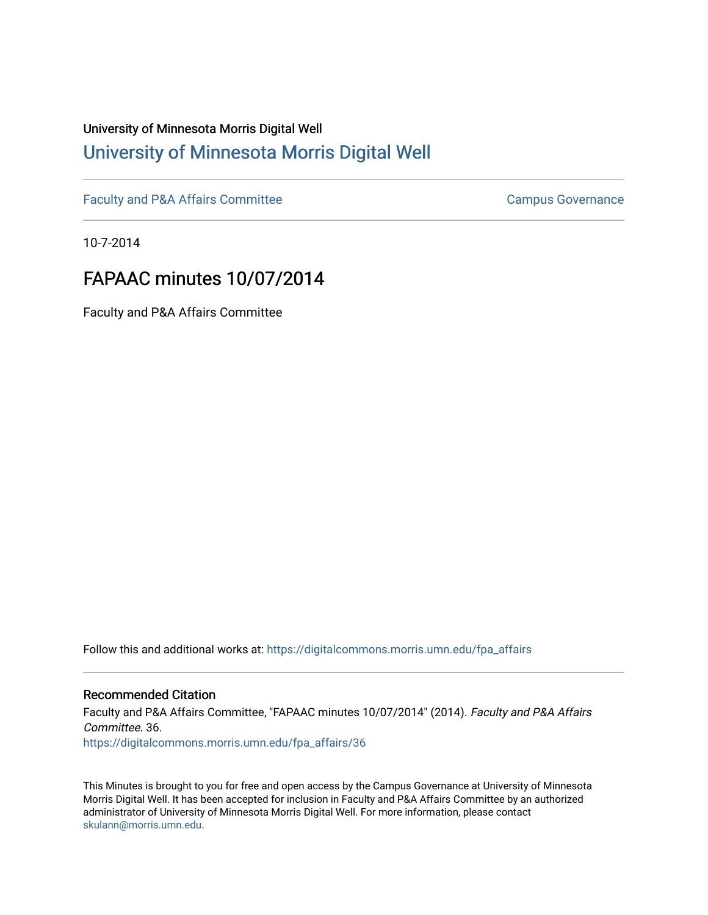# University of Minnesota Morris Digital Well [University of Minnesota Morris Digital Well](https://digitalcommons.morris.umn.edu/)

[Faculty and P&A Affairs Committee](https://digitalcommons.morris.umn.edu/fpa_affairs) [Campus Governance](https://digitalcommons.morris.umn.edu/campgov) Campus Governance

10-7-2014

# FAPAAC minutes 10/07/2014

Faculty and P&A Affairs Committee

Follow this and additional works at: [https://digitalcommons.morris.umn.edu/fpa\\_affairs](https://digitalcommons.morris.umn.edu/fpa_affairs?utm_source=digitalcommons.morris.umn.edu%2Ffpa_affairs%2F36&utm_medium=PDF&utm_campaign=PDFCoverPages)

## Recommended Citation

Faculty and P&A Affairs Committee, "FAPAAC minutes 10/07/2014" (2014). Faculty and P&A Affairs Committee. 36. [https://digitalcommons.morris.umn.edu/fpa\\_affairs/36](https://digitalcommons.morris.umn.edu/fpa_affairs/36?utm_source=digitalcommons.morris.umn.edu%2Ffpa_affairs%2F36&utm_medium=PDF&utm_campaign=PDFCoverPages) 

This Minutes is brought to you for free and open access by the Campus Governance at University of Minnesota Morris Digital Well. It has been accepted for inclusion in Faculty and P&A Affairs Committee by an authorized administrator of University of Minnesota Morris Digital Well. For more information, please contact [skulann@morris.umn.edu.](mailto:skulann@morris.umn.edu)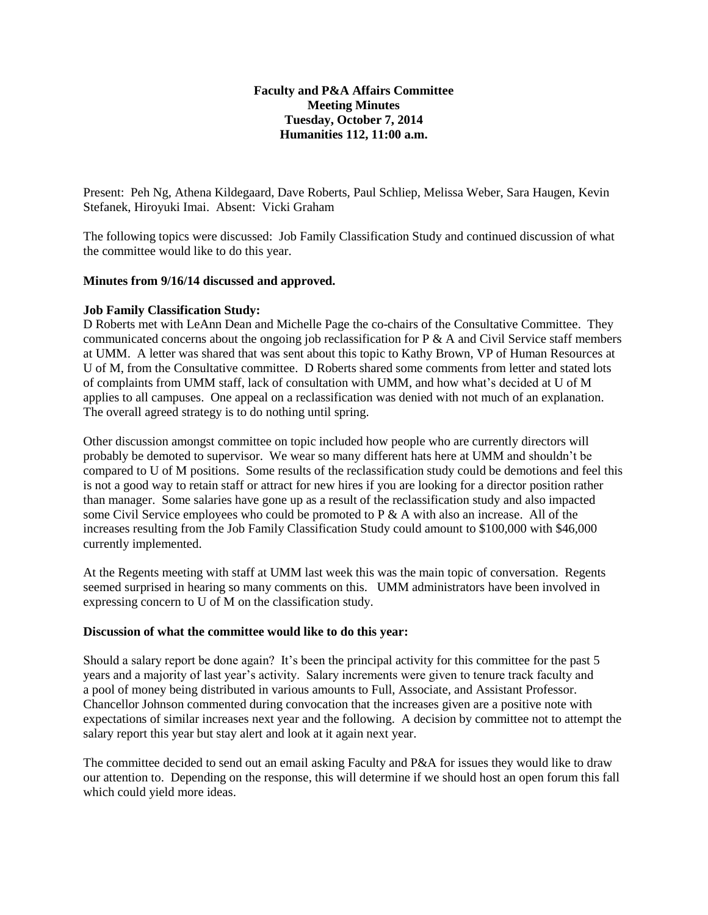### **Faculty and P&A Affairs Committee Meeting Minutes Tuesday, October 7, 2014 Humanities 112, 11:00 a.m.**

Present: Peh Ng, Athena Kildegaard, Dave Roberts, Paul Schliep, Melissa Weber, Sara Haugen, Kevin Stefanek, Hiroyuki Imai. Absent: Vicki Graham

The following topics were discussed: Job Family Classification Study and continued discussion of what the committee would like to do this year.

### **Minutes from 9/16/14 discussed and approved.**

### **Job Family Classification Study:**

D Roberts met with LeAnn Dean and Michelle Page the co-chairs of the Consultative Committee. They communicated concerns about the ongoing job reclassification for  $P \& A$  and Civil Service staff members at UMM. A letter was shared that was sent about this topic to Kathy Brown, VP of Human Resources at U of M, from the Consultative committee. D Roberts shared some comments from letter and stated lots of complaints from UMM staff, lack of consultation with UMM, and how what's decided at U of M applies to all campuses. One appeal on a reclassification was denied with not much of an explanation. The overall agreed strategy is to do nothing until spring.

Other discussion amongst committee on topic included how people who are currently directors will probably be demoted to supervisor. We wear so many different hats here at UMM and shouldn't be compared to U of M positions. Some results of the reclassification study could be demotions and feel this is not a good way to retain staff or attract for new hires if you are looking for a director position rather than manager. Some salaries have gone up as a result of the reclassification study and also impacted some Civil Service employees who could be promoted to P & A with also an increase. All of the increases resulting from the Job Family Classification Study could amount to \$100,000 with \$46,000 currently implemented.

At the Regents meeting with staff at UMM last week this was the main topic of conversation. Regents seemed surprised in hearing so many comments on this. UMM administrators have been involved in expressing concern to U of M on the classification study.

#### **Discussion of what the committee would like to do this year:**

Should a salary report be done again? It's been the principal activity for this committee for the past 5 years and a majority of last year's activity. Salary increments were given to tenure track faculty and a pool of money being distributed in various amounts to Full, Associate, and Assistant Professor. Chancellor Johnson commented during convocation that the increases given are a positive note with expectations of similar increases next year and the following. A decision by committee not to attempt the salary report this year but stay alert and look at it again next year.

The committee decided to send out an email asking Faculty and P&A for issues they would like to draw our attention to. Depending on the response, this will determine if we should host an open forum this fall which could yield more ideas.